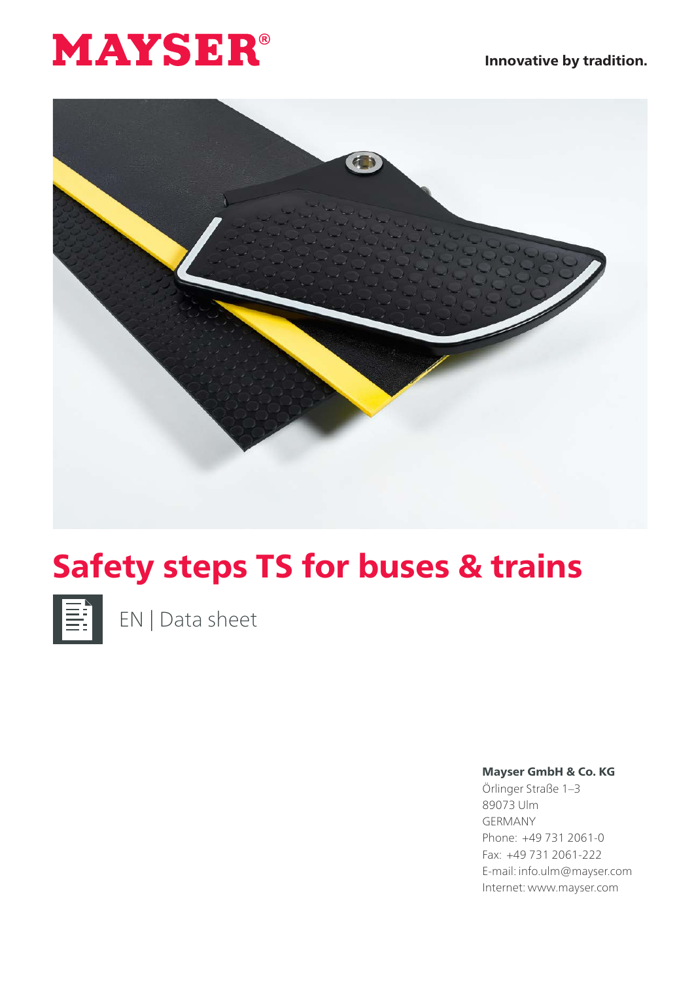



## Safety steps TS for buses & trains



EN | Data sheet

## Mayser GmbH & Co. KG

Örlinger Straße 1–3 89073 Ulm GERMANY Phone: +49 731 2061-0 Fax: +49 731 2061-222 E-mail: info.ulm@mayser.com Internet: www.mayser.com